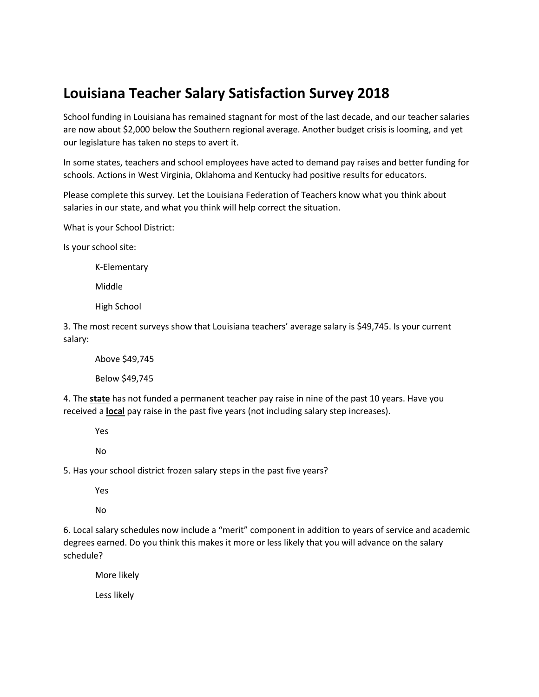## **Louisiana Teacher Salary Satisfaction Survey 2018**

School funding in Louisiana has remained stagnant for most of the last decade, and our teacher salaries are now about \$2,000 below the Southern regional average. Another budget crisis is looming, and yet our legislature has taken no steps to avert it.

In some states, teachers and school employees have acted to demand pay raises and better funding for schools. Actions in West Virginia, Oklahoma and Kentucky had positive results for educators.

Please complete this survey. Let the Louisiana Federation of Teachers know what you think about salaries in our state, and what you think will help correct the situation.

What is your School District:

Is your school site:

K-Elementary

Middle

High School

3. The most recent surveys show that Louisiana teachers' average salary is \$49,745. Is your current salary:

Above \$49,745

Below \$49,745

4. The **state** has not funded a permanent teacher pay raise in nine of the past 10 years. Have you received a **local** pay raise in the past five years (not including salary step increases).

Yes

No

5. Has your school district frozen salary steps in the past five years?

Yes

No

6. Local salary schedules now include a "merit" component in addition to years of service and academic degrees earned. Do you think this makes it more or less likely that you will advance on the salary schedule?

More likely

Less likely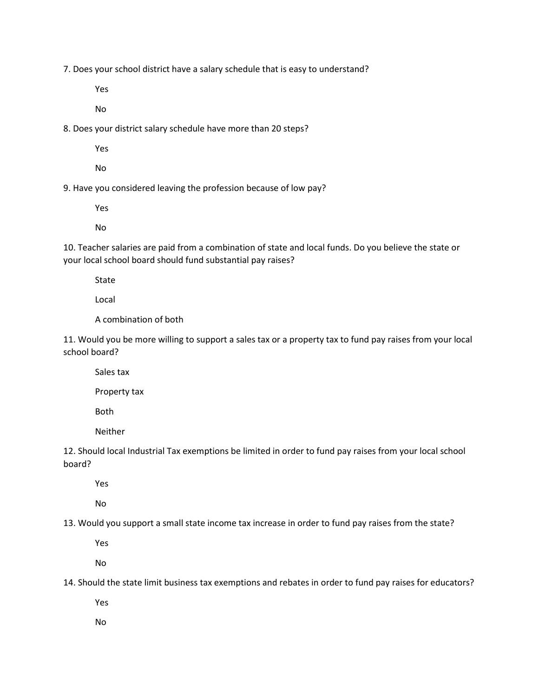7. Does your school district have a salary schedule that is easy to understand?

Yes

No

8. Does your district salary schedule have more than 20 steps?

Yes

No

9. Have you considered leaving the profession because of low pay?

Yes

No

10. Teacher salaries are paid from a combination of state and local funds. Do you believe the state or your local school board should fund substantial pay raises?

State

Local

A combination of both

11. Would you be more willing to support a sales tax or a property tax to fund pay raises from your local school board?

Sales tax Property tax Both Neither

12. Should local Industrial Tax exemptions be limited in order to fund pay raises from your local school board?

Yes

No

13. Would you support a small state income tax increase in order to fund pay raises from the state?

Yes

No

14. Should the state limit business tax exemptions and rebates in order to fund pay raises for educators?

Yes

No